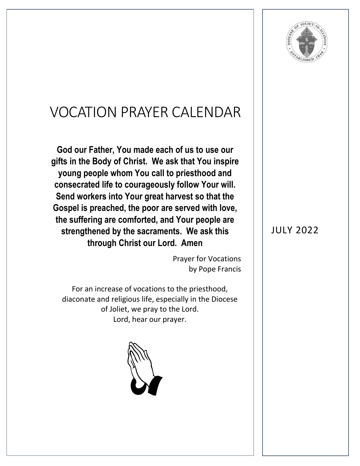

## VOCATION PRAYER CALENDAR

**God our Father, You made each of us to use our gifts in the Body of Christ. We ask that You inspire young people whom You call to priesthood and consecrated life to courageously follow Your will. Send workers into Your great harvest so that the Gospel is preached, the poor are served with love, the suffering are comforted, and Your people are strengthened by the sacraments. We ask this through Christ our Lord. Amen**

> Prayer for Vocations by Pope Francis

For an increase of vocations to the priesthood, diaconate and religious life, especially in the Diocese of Joliet, we pray to the Lord. Lord, hear our prayer.



## JULY 2022